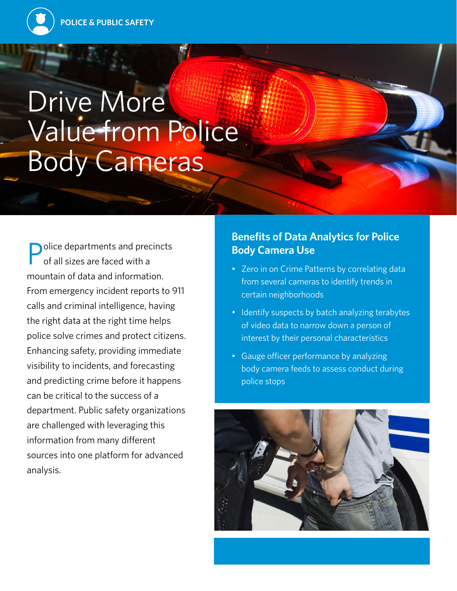# Drive More Value from Police Body Cameras

olice departments and precincts of all sizes are faced with a mountain of data and information. From emergency incident reports to 911 calls and criminal intelligence, having the right data at the right time helps police solve crimes and protect citizens. Enhancing safety, providing immediate visibility to incidents, and forecasting and predicting crime before it happens can be critical to the success of a department. Public safety organizations are challenged with leveraging this information from many different sources into one platform for advanced analysis.

### **Benefits of Data Analytics for Police Body Camera Use**

- Zero in on Crime Patterns by correlating data from several cameras to identify trends in certain neighborhoods
- Identify suspects by batch analyzing terabytes of video data to narrow down a person of interest by their personal characteristics
- Gauge officer performance by analyzing body camera feeds to assess conduct during police stops

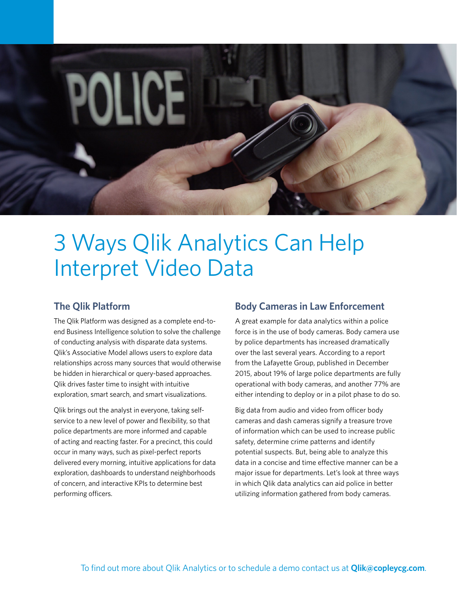

## 3 Ways Qlik Analytics Can Help Interpret Video Data

#### **The Qlik Platform**

The Qlik Platform was designed as a complete end-toend Business Intelligence solution to solve the challenge of conducting analysis with disparate data systems. Qlik's Associative Model allows users to explore data relationships across many sources that would otherwise be hidden in hierarchical or query-based approaches. Qlik drives faster time to insight with intuitive exploration, smart search, and smart visualizations.

Qlik brings out the analyst in everyone, taking selfservice to a new level of power and flexibility, so that police departments are more informed and capable of acting and reacting faster. For a precinct, this could occur in many ways, such as pixel-perfect reports delivered every morning, intuitive applications for data exploration, dashboards to understand neighborhoods of concern, and interactive KPIs to determine best performing officers.

#### **Body Cameras in Law Enforcement**

A great example for data analytics within a police force is in the use of body cameras. Body camera use by police departments has increased dramatically over the last several years. According to a report from the Lafayette Group, published in December 2015, about 19% of large police departments are fully operational with body cameras, and another 77% are either intending to deploy or in a pilot phase to do so.

Big data from audio and video from officer body cameras and dash cameras signify a treasure trove of information which can be used to increase public safety, determine crime patterns and identify potential suspects. But, being able to analyze this data in a concise and time effective manner can be a major issue for departments. Let's look at three ways in which Qlik data analytics can aid police in better utilizing information gathered from body cameras.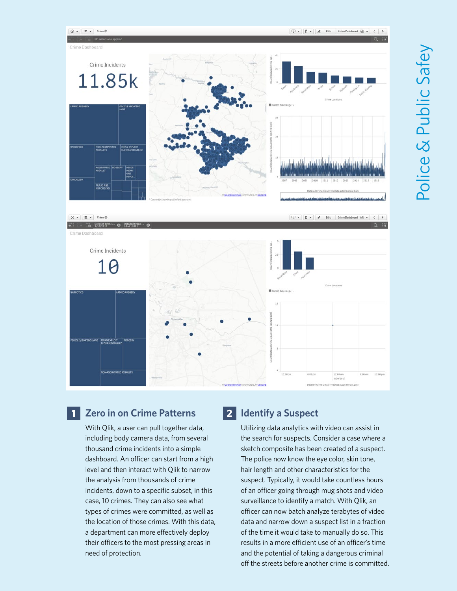

#### **Zero in on Crime Patterns 1 2**

With Qlik, a user can pull together data, including body camera data, from several thousand crime incidents into a simple dashboard. An officer can start from a high level and then interact with Qlik to narrow the analysis from thousands of crime incidents, down to a specific subset, in this case, 10 crimes. They can also see what types of crimes were committed, as well as the location of those crimes. With this data, a department can more effectively deploy their officers to the most pressing areas in need of protection.

#### **2** Identify a Suspect

Utilizing data analytics with video can assist in the search for suspects. Consider a case where a sketch composite has been created of a suspect. The police now know the eye color, skin tone, hair length and other characteristics for the suspect. Typically, it would take countless hours of an officer going through mug shots and video surveillance to identify a match. With Qlik, an officer can now batch analyze terabytes of video data and narrow down a suspect list in a fraction of the time it would take to manually do so. This results in a more efficient use of an officer's time and the potential of taking a dangerous criminal off the streets before another crime is committed.